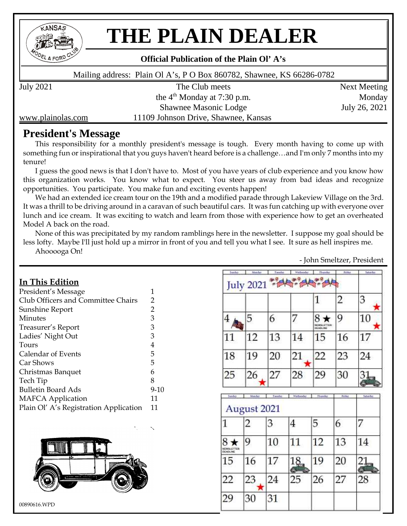

# **THE PLAIN DEALER**

#### **Official Publication of the Plain Ol'A's**

Mailing address: Plain Ol A's, P O Box 860782, Shawnee, KS 66286-0782

July 2021 The Club meets Next Meeting

the  $4<sup>th</sup>$  Monday at 7:30 p.m. Monday Shawnee Masonic Lodge July 26, 2021

www.plainolas.com 11109 Johnson Drive, Shawnee, Kansas

# **President's Message**

This responsibility for a monthly president's message is tough. Every month having to come up with something fun or inspirational that you guys haven't heard before is a challenge…and I'm only 7 months into my tenure!

I guess the good news is that I don't have to. Most of you have years of club experience and you know how this organization works. You know what to expect. You steer us away from bad ideas and recognize opportunities. You participate. You make fun and exciting events happen!

We had an extended ice cream tour on the 19th and a modified parade through Lakeview Village on the 3rd. It was a thrill to be driving around in a caravan of such beautiful cars. It was fun catching up with everyone over lunch and ice cream. It was exciting to watch and learn from those with experience how to get an overheated Model A back on the road.

None of this was precipitated by my random ramblings here in the newsletter. I suppose my goal should be less lofty. Maybe I'll just hold up a mirror in front of you and tell you what I see. It sure as hell inspires me. Ahooooga On!

# - John Smeltzer, President

#### **In This Edition**

| President's Message                    | 1              |
|----------------------------------------|----------------|
| Club Officers and Committee Chairs     | 2              |
| Sunshine Report                        | $\overline{2}$ |
| Minutes                                | 3              |
| Treasurer's Report                     | 3              |
| Ladies' Night Out                      | 3              |
| Tours                                  | 4              |
| Calendar of Events                     | 5              |
| Car Shows                              | 5              |
| Christmas Banquet                      | 6              |
| Tech Tip                               | 8              |
| <b>Bulletin Board Ads</b>              | $9-10$         |
| <b>MAFCA</b> Application               | 11             |
| Plain Ol' A's Registration Application | 11             |



| <b>Sunday</b>                 | <b>Manday</b>    | Tacadas | Wednesder | Thursday                                        | <b>Editor</b> | Schulder |
|-------------------------------|------------------|---------|-----------|-------------------------------------------------|---------------|----------|
|                               | <b>July 2021</b> |         |           |                                                 |               |          |
|                               |                  |         |           | 1                                               | 2             | 3        |
| 4                             | 5                | 6       | 7         | $8\star$<br><b>EWSLETTER</b><br><b>DEADLINE</b> | 9             | $10\,$   |
| 11                            | 12               | 13      | 14        | 15                                              | 16            | 17       |
| 18                            | 19               | 20      | 21        | 22                                              | 23            | 24       |
| 25                            | 26               | 27      | 28        | 29                                              | 30            | 31       |
| <b>Suadat</b>                 | <b>Manday</b>    | Tacadar | Wednesday | Thursday                                        | <b>Editor</b> | Schulder |
|                               | August 2021      |         |           |                                                 |               |          |
| 1                             | 2                | 3       | 4         | 5                                               | 6             | 7        |
| EWSLETTER<br><b>DEATH INE</b> | 9                | 10      | 11        | 12                                              | 13            | 14       |
| 15                            | 16               | 17      | 18        | 19                                              | 20            | Հ եր     |
|                               |                  |         | 25        | 26                                              | 27            | 28       |
| 22                            | 23               | 24      |           |                                                 |               |          |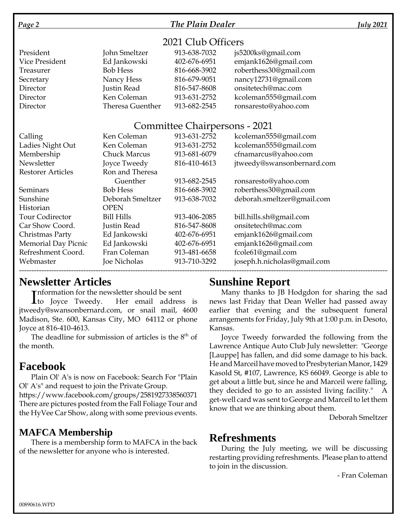#### *Page 2 The Plain Dealer July 2021*

#### 2021 Club Officers

| President      | John Smeltzer    | 913-638-7032 | js5200ks@gmail.com     |
|----------------|------------------|--------------|------------------------|
| Vice President | Ed Jankowski     | 402-676-6951 | emjank1626@gmail.com   |
| Treasurer      | <b>Bob Hess</b>  | 816-668-3902 | roberthess30@gmail.com |
| Secretary      | Nancy Hess       | 816-679-9051 | nancy12731@gmail.com   |
| Director       | Justin Read      | 816-547-8608 | onsitetech@mac.com     |
| Director       | Ken Coleman      | 913-631-2752 | kcoleman555@gmail.com  |
| Director       | Theresa Guenther | 913-682-2545 | ronsaresto@yahoo.com   |

#### Committee Chairpersons - 2021

| Calling                    | Ken Coleman         | 913-631-2752 | kcoleman555@gmail.com       |
|----------------------------|---------------------|--------------|-----------------------------|
| Ladies Night Out           | Ken Coleman         | 913-631-2752 | kcoleman555@gmail.com       |
| Membership                 | <b>Chuck Marcus</b> | 913-681-6079 | cfnamarcus@yahoo.com        |
| Newsletter                 | Joyce Tweedy        | 816-410-4613 | jtweedy@swansonbernard.com  |
| <b>Restorer Articles</b>   | Ron and Theresa     |              |                             |
|                            | Guenther            | 913-682-2545 | ronsaresto@yahoo.com        |
| Seminars                   | <b>Bob Hess</b>     | 816-668-3902 | roberthess30@gmail.com      |
| Sunshine                   | Deborah Smeltzer    | 913-638-7032 | deborah.smeltzer@gmail.com  |
| Historian                  | <b>OPEN</b>         |              |                             |
| <b>Tour Codirector</b>     | <b>Bill Hills</b>   | 913-406-2085 | bill.hills.sh@gmail.com     |
| Car Show Coord.            | Justin Read         | 816-547-8608 | onsitetech@mac.com          |
| Christmas Party            | Ed Jankowski        | 402-676-6951 | emjank1626@gmail.com        |
| <b>Memorial Day Picnic</b> | Ed Jankowski        | 402-676-6951 | emjank1626@gmail.com        |
| Refreshment Coord.         | Fran Coleman        | 913-481-6658 | fcole61@gmail.com           |
| Webmaster                  | Joe Nicholas        | 913-710-3292 | joseph.h.nicholas@gmail.com |
|                            |                     |              |                             |

# **Newsletter Articles**

**Theormation for the newsletter should be sent** 

Information for the newsletter should be sent<br>
to Joyce Tweedy. Her email address is jtweedy@swansonbernard.com, or snail mail, 4600 Madison, Ste. 600, Kansas City, MO 64112 or phone Joyce at 816-410-4613.

The deadline for submission of articles is the  $8<sup>th</sup>$  of the month.

# **Facebook**

Plain Ol' A's is now on Facebook: Search For "Plain Ol' A's" and request to join the Private Group.

https://www.facebook.com/groups/2581927338560371 There are pictures posted from the Fall Foliage Tour and the HyVee Car Show, along with some previous events.

# **MAFCA Membership**

There is a membership form to MAFCA in the back of the newsletter for anyone who is interested.

# **Sunshine Report**

Many thanks to JB Hodgdon for sharing the sad news last Friday that Dean Weller had passed away earlier that evening and the subsequent funeral arrangements for Friday, July 9th at 1:00 p.m. in Desoto, Kansas.

Joyce Tweedy forwarded the following from the Lawrence Antique Auto Club July newsletter: "George [Lauppe] has fallen, and did some damage to his back. He and Marceil have moved to Presbyterian Manor, 1429 Kasold St, #107, Lawrence, KS 66049. George is able to get about a little but, since he and Marceil were falling, they decided to go to an assisted living facility." A get-well card was sent to George and Marceil to let them know that we are thinking about them.

Deborah Smeltzer

# **Refreshments**

During the July meeting, we will be discussing restarting providing refreshments. Please plan to attend to join in the discussion.

- Fran Coleman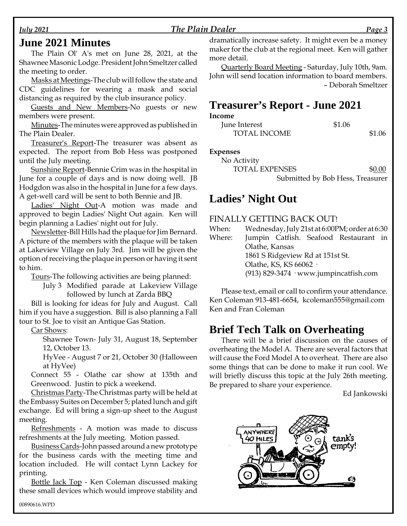#### *July 2021 The Plain Dealer Page 3*

### **June 2021 Minutes**

The Plain Ol' A's met on June 28, 2021, at the Shawnee Masonic Lodge. President John Smeltzer called the meeting to order.

Masks at Meetings-The club will follow the state and CDC guidelines for wearing a mask and social distancing as required by the club insurance policy.

Guests and New Members-No guests or new members were present.

Minutes-The minutes were approved as published in The Plain Dealer.

Treasurer's Report-The treasurer was absent as expected. The report from Bob Hess was postponed until the July meeting.

Sunshine Report-Bennie Crim was in the hospital in June for a couple of days and is now doing well. JB Hodgdon was also in the hospital in June for a few days. A get-well card will be sent to both Bennie and JB.

Ladies' Night Out-A motion was made and approved to begin Ladies' Night Out again. Ken will begin planning a Ladies' night out for July.

Newsletter-Bill Hills had the plaque for Jim Bernard. A picture of the members with the plaque will be taken at Lakeview Village on July 3rd. Jim will be given the option of receiving the plaque in person or having it sent to him.

Tours-The following activities are being planned:

July 3 Modified parade at Lakeview Village followed by lunch at Zarda BBQ

Bill is looking for ideas for July and August. Call him if you have a suggestion. Bill is also planning a Fall tour to St. Joe to visit an Antique Gas Station.

Car Shows:

Shawnee Town- July 31, August 18, September 12, October 13.

HyVee - August 7 or 21, October 30 (Halloween at HyVee)

Connect 55 - Olathe car show at 135th and Greenwood. Justin to pick a weekend.

Christmas Party-The Christmas party will be held at the Embassy Suites on December 5; plated lunch and gift exchange. Ed will bring a sign-up sheet to the August meeting.

Refreshments - A motion was made to discuss refreshments at the July meeting. Motion passed.

Business Cards-John passed around a new prototype for the business cards with the meeting time and location included. He will contact Lynn Lackey for printing.

Bottle Jack Top - Ken Coleman discussed making these small devices which would improve stability and

dramatically increase safety. It might even be a money maker for the club at the regional meet. Ken will gather more detail.

Quarterly Board Meeting - Saturday, July 10th, 9am. John will send location information to board members. –Deborah Smeltzer

# **Treasurer's Report - June 2021**

#### **Income**

| June Interest       | \$1.06 |  |
|---------------------|--------|--|
| <b>TOTAL INCOME</b> | \$1.06 |  |

**Expenses**

| No Activity           |                                  |
|-----------------------|----------------------------------|
| <b>TOTAL EXPENSES</b> | \$0.00                           |
|                       | Submitted by Bob Hess, Treasurer |

# Ladies' Night Out

#### FINALLY GETTING BACK OUT!

| When:  | Wednesday, July 21st at 6:00PM; order at 6:30 |  |  |  |  |  |
|--------|-----------------------------------------------|--|--|--|--|--|
| Where: | Jumpin Catfish. Seafood Restaurant in         |  |  |  |  |  |
|        | Olathe, Kansas                                |  |  |  |  |  |
|        | 1861 S Ridgeview Rd at 151st St.              |  |  |  |  |  |
|        | Olathe, KS, KS 66062 ·                        |  |  |  |  |  |
|        | $(913)$ 829-3474 · www.jumpincatfish.com      |  |  |  |  |  |

Please text, email or call to confirm your attendance. Ken Coleman 913-481-6654, kcoleman555@gmail.com Ken and Fran Coleman

# **Brief Tech Talk on Overheating**

There will be a brief discussion on the causes of overheating the Model A. There are several factors that will cause the Ford Model A to overheat. There are also some things that can be done to make it run cool. We will briefly discuss this topic at the July 26th meeting. Be prepared to share your experience.

Ed Jankowski

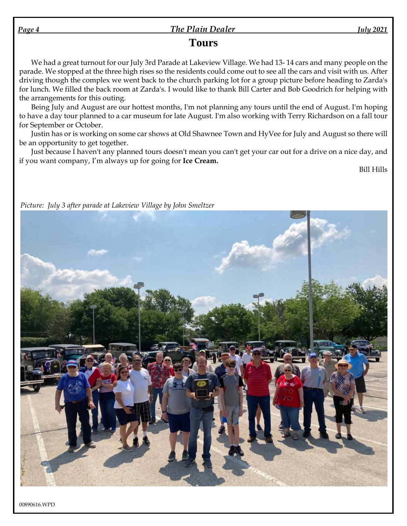#### *Page 4 The Plain Dealer July 2021*

# **Tours**

We had a great turnout for our July 3rd Parade at Lakeview Village. We had 13- 14 cars and many people on the parade. We stopped at the three high rises so the residents could come out to see all the cars and visit with us. After driving though the complex we went back to the church parking lot for a group picture before heading to Zarda's for lunch. We filled the back room at Zarda's. I would like to thank Bill Carter and Bob Goodrich for helping with the arrangements for this outing.

Being July and August are our hottest months, I'm not planning any tours until the end of August. I'm hoping to have a day tour planned to a car museum for late August. I'm also working with Terry Richardson on a fall tour for September or October.

Justin has or is working on some car shows at Old Shawnee Town and HyVee for July and August so there will be an opportunity to get together.

Just because I haven't any planned tours doesn't mean you can't get your car out for a drive on a nice day, and if you want company, I'm always up for going for **Ice Cream.**

Bill Hills



*Picture: July 3 after parade at Lakeview Village by John Smeltzer*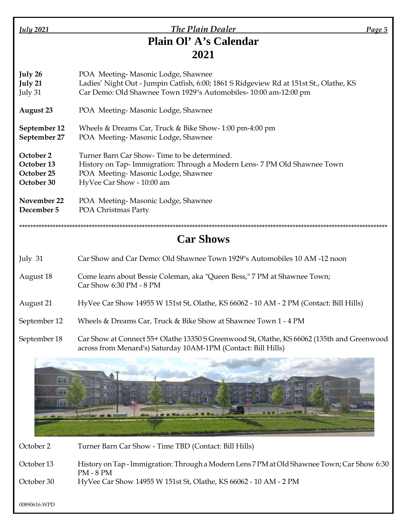| <b>July 2021</b> |  |
|------------------|--|

# *July 2021 Plain Dealer Page 5* **Plain Ol'A's Calendar 2021**

**July 26** POA Meeting- Masonic Lodge, Shawnee **July 21** Ladies' Night Out - Jumpin Catfish, 6:00; 1861 S Ridgeview Rd at 151st St., Olathe, KS July 31 Car Demo: Old Shawnee Town 1929"s Automobiles- 10:00 am-12:00 pm

**August 23** POA Meeting- Masonic Lodge, Shawnee

**September 12** Wheels & Dreams Car, Truck & Bike Show- 1:00 pm-4:00 pm

**September 27** POA Meeting- Masonic Lodge, Shawnee

**October 2** Turner Barn Car Show- Time to be determined. **October 13** History on Tap- Immigration: Through a Modern Lens- 7 PM Old Shawnee Town **October 25** POA Meeting- Masonic Lodge, Shawnee **October 30** HyVee Car Show - 10:00 am

**November 22** POA Meeting- Masonic Lodge, Shawnee **December 5** POA Christmas Party

\*\*\*\*\*\*\*\*\*\*\*\*\*\*\*\*\*\*\*\*\*\*\*\*\*\*\*\*\*\*\*\*\*\*\*\*\*\*\*\*\*\*\*\*\*\*\*\*\*\*\*\*\*\*\*\*\*\*\*\*\*\*\*\*\*\*\*\*\*\*\*\*\*\*\*\*\*\*\*\*\*\*\*\*\*\*\*\*\*\*\*\*\*\*\*\*\*\*\*\*\*\*\*\*\*\*\*\*\*\*\*\*\*\*\*\*\*\*\*\*\*\*\*\*\*\*\*\*\*\*\*\*

# **Car Shows**

| July 31      | Car Show and Car Demo: Old Shawnee Town 1929"s Automobiles 10 AM -12 noon                               |
|--------------|---------------------------------------------------------------------------------------------------------|
| August 18    | Come learn about Bessie Coleman, aka "Queen Bess," 7 PM at Shawnee Town;<br>Car Show $6:30$ PM - $8$ PM |
| August 21    | HyVee Car Show 14955 W 151st St, Olathe, KS 66062 - 10 AM - 2 PM (Contact: Bill Hills)                  |
| September 12 | Wheels & Dreams Car, Truck & Bike Show at Shawnee Town 1 - 4 PM                                         |
| September 18 | Car Show at Connect 55+ Olathe 13350 S Greenwood St. Olathe, KS 66062 (135th and Greeny                 |





| October 2  | Turner Barn Car Show - Time TBD (Contact: Bill Hills)                                                    |
|------------|----------------------------------------------------------------------------------------------------------|
| October 13 | History on Tap - Immigration: Through a Modern Lens 7 PM at Old Shawnee Town; Car Show 6:30<br>PM - 8 PM |
| October 30 | HyVee Car Show 14955 W 151st St, Olathe, KS 66062 - 10 AM - 2 PM                                         |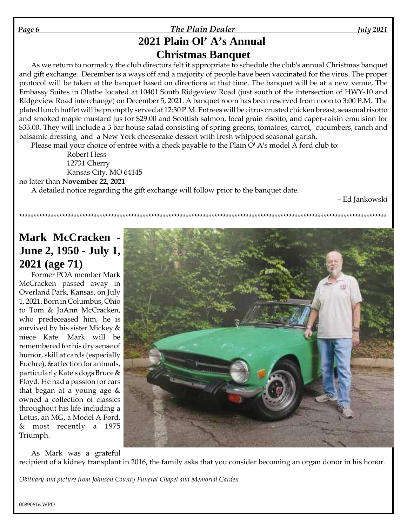#### *Page 6 The Plain Dealer July 2021*

# **2021 Plain Ol'A's Annual Christmas Banquet**

As we return to normalcy the club directors felt it appropriate to schedule the club's annual Christmas banquet and gift exchange. December is a ways off and a majority of people have been vaccinated for the virus. The proper protocol will be taken at the banquet based on directions at that time. The banquet will be at a new venue, The Embassy Suites in Olathe located at 10401 South Ridgeview Road (just south of the intersection of HWY-10 and Ridgeview Road interchange) on December 5, 2021. A banquet room has been reserved from noon to 3:00 P.M. The plated lunch buffet will be promptly served at 12:30 P.M. Entrees will be citrus crusted chicken breast, seasonal risotto and smoked maple mustard jus for \$29.00 and Scottish salmon, local grain risotto, and caper-raisin emulsion for \$33.00. They will include a 3 bar house salad consisting of spring greens, tomatoes, carrot, cucumbers, ranch and balsamic dressing and a New York cheesecake dessert with fresh whipped seasonal garish.

\*\*\*\*\*\*\*\*\*\*\*\*\*\*\*\*\*\*\*\*\*\*\*\*\*\*\*\*\*\*\*\*\*\*\*\*\*\*\*\*\*\*\*\*\*\*\*\*\*\*\*\*\*\*\*\*\*\*\*\*\*\*\*\*\*\*\*\*\*\*\*\*\*\*\*\*\*\*\*\*\*\*\*\*\*\*\*\*\*\*\*\*\*\*\*\*\*\*\*\*\*\*\*\*\*\*\*\*\*\*\*\*\*\*\*\*\*\*\*\*\*\*\*\*\*\*\*\*

Please mail your choice of entrée with a check payable to the Plain O' A's model A ford club to:

Robert Hess 12731 Cherry Kansas City, MO 64145

no later than **November 22, 2021**

A detailed notice regarding the gift exchange will follow prior to the banquet date.

–Ed Jankowski

# **Mark McCracken - June 2, 1950 - July 1, 2021 (age 71)**

Former POA member Mark McCracken passed away in Overland Park, Kansas, on July 1, 2021. Born in Columbus, Ohio to Tom & JoAnn McCracken, who predeceased him, he is survived by his sister Mickey & niece Kate. Mark will be remembered for his dry sense of humor, skill at cards (especially Euchre), & affection for animals, particularly Kate's dogs Bruce & Floyd. He had a passion for cars that began at a young age & owned a collection of classics throughout his life including a Lotus, an MG, a Model A Ford, & most recently a 1975 Triumph.

As Mark was a grateful

recipient of a kidney transplant in 2016, the family asks that you consider becoming an organ donor in his honor.

*Obituary and picture from Johnson County Funeral Chapel and Memorial Garden*

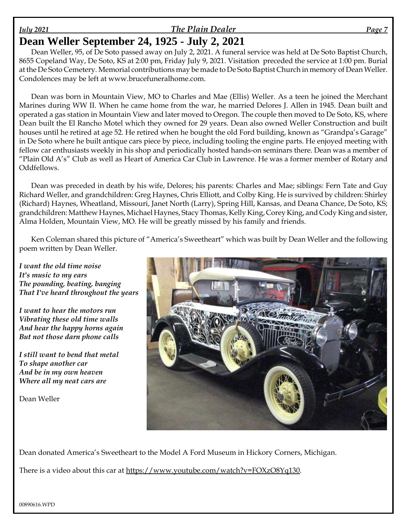### *July 2021 The Plain Dealer Page 7*

# **Dean Weller September 24, 1925 - July 2, 2021**

Dean Weller, 95, of De Soto passed away on July 2, 2021. A funeral service was held at De Soto Baptist Church, 8655 Copeland Way, De Soto, KS at 2:00 pm, Friday July 9, 2021. Visitation preceded the service at 1:00 pm. Burial at the De Soto Cemetery. Memorial contributions may be made to De Soto Baptist Church in memory of Dean Weller. Condolences may be left at www.brucefuneralhome.com.

Dean was born in Mountain View, MO to Charles and Mae (Ellis) Weller. As a teen he joined the Merchant Marines during WW II. When he came home from the war, he married Delores J. Allen in 1945. Dean built and operated a gas station in Mountain View and later moved to Oregon. The couple then moved to De Soto, KS, where Dean built the El Rancho Motel which they owned for 29 years. Dean also owned Weller Construction and built houses until he retired at age 52. He retired when he bought the old Ford building, known as "Grandpa's Garage" in De Soto where he built antique cars piece by piece, including tooling the engine parts. He enjoyed meeting with fellow car enthusiasts weekly in his shop and periodically hosted hands-on seminars there. Dean was a member of "Plain Old A's" Club as well as Heart of America Car Club in Lawrence. He was a former member of Rotary and Oddfellows.

Dean was preceded in death by his wife, Delores; his parents: Charles and Mae; siblings: Fern Tate and Guy Richard Weller, and grandchildren: Greg Haynes, Chris Elliott, and Colby King. He is survived by children: Shirley (Richard) Haynes, Wheatland, Missouri, Janet North (Larry), Spring Hill, Kansas, and Deana Chance, De Soto, KS; grandchildren: Matthew Haynes, Michael Haynes, Stacy Thomas, Kelly King, Corey King, and Cody King and sister, Alma Holden, Mountain View, MO. He will be greatly missed by his family and friends.

Ken Coleman shared this picture of "America's Sweetheart" which was built by Dean Weller and the following poem written by Dean Weller.

*I want the old time noise It's music to my ears The pounding, beating, banging That I've heard throughout the years*

*I want to hear the motors run Vibrating these old time walls And hear the happy horns again But not those darn phone calls*

*I still want to bend that metal To shape another car And be in my own heaven Where all my neat cars are*

Dean Weller



Dean donated America's Sweetheart to the Model A Ford Museum in Hickory Corners, Michigan.

There is a video about this car at https://www.youtube.com/watch?v=FOXzO8Yq130.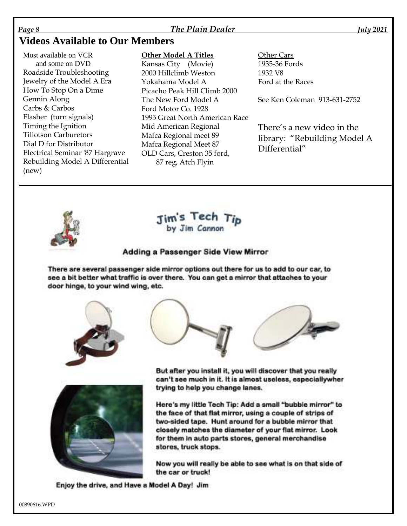#### *Page 8 The Plain Dealer July 2021*

# **Videos Available to Our Members**

Most available on VCR and some on DVD Roadside Troubleshooting Jewelry of the Model A Era How To Stop On a Dime Gennin Along Carbs & Carbos Flasher (turn signals) Timing the Ignition Tillotson Carburetors Dial D for Distributor Electrical Seminar '87 Hargrave Rebuilding Model A Differential (new)

#### **Other Model A Titles**

Kansas City (Movie) 2000 Hillclimb Weston Yokahama Model A Picacho Peak Hill Climb 2000 The New Ford Model A Ford Motor Co. 1928 1995 Great North American Race Mid American Regional Mafca Regional meet 89 Mafca Regional Meet 87 OLD Cars, Creston 35 ford, 87 reg, Atch Flyin

Other Cars 1935-36 Fords 1932 V8 Ford at the Races

See Ken Coleman 913-631-2752

There's a new video in the library: "Rebuilding Model A Differential"





#### Adding a Passenger Side View Mirror

There are several passenger side mirror options out there for us to add to our car, to see a bit better what traffic is over there. You can get a mirror that attaches to your door hinge, to your wind wing, etc.









But after you install it, you will discover that you really can't see much in it. It is almost useless, especiallywher trying to help you change lanes.

Here's my little Tech Tip: Add a small "bubble mirror" to the face of that flat mirror, using a couple of strips of two-sided tape. Hunt around for a bubble mirror that closely matches the diameter of your flat mirror. Look for them in auto parts stores, general merchandise stores, truck stops.

Now you will really be able to see what is on that side of the car or truck!

Enjoy the drive, and Have a Model A Day! Jim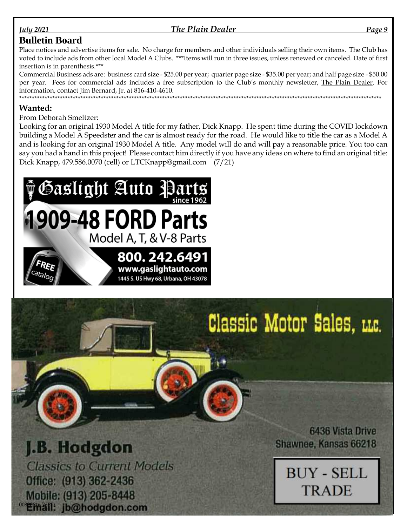#### The Plain Dealer

#### *<u>July</u>* 2021

#### **Bulletin Board**

Place notices and advertise items for sale. No charge for members and other individuals selling their own items. The Club has voted to include ads from other local Model A Clubs. \*\*\*Items will run in three issues, unless renewed or canceled. Date of first insertion is in parenthesis.\*\*\*

Commercial Business ads are: business card size - \$25.00 per year; quarter page size - \$35.00 per year; and half page size - \$50.00 per year. Fees for commercial ads includes a free subscription to the Club's monthly newsletter, The Plain Dealer. For information, contact Jim Bernard, Jr. at 816-410-4610. 

#### **Wanted:**

From Deborah Smeltzer:

Looking for an original 1930 Model A title for my father, Dick Knapp. He spent time during the COVID lockdown building a Model A Speedster and the car is almost ready for the road. He would like to title the car as a Model A and is looking for an original 1930 Model A title. Any model will do and will pay a reasonable price. You too can say you had a hand in this project! Please contact him directly if you have any ideas on where to find an original title: Dick Knapp, 479.586.0070 (cell) or LTCKnapp@gmail.com (7/21)



1445 S. US Hwy 68, Urbana, OH 43078

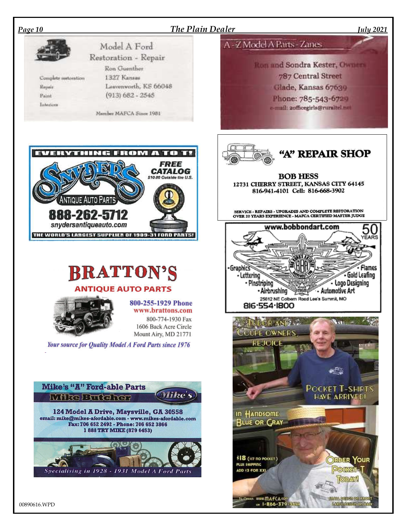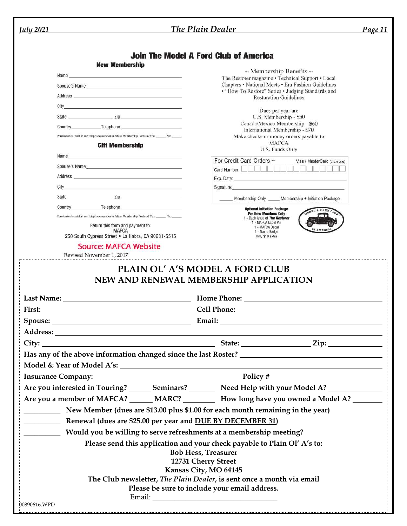| <i><u><b>July 2021</b></u></i> |                                                                                                                                                                                                                                      | The Plain Dealer                                                                                                                                                                                                                     | <b>Page 11</b> |
|--------------------------------|--------------------------------------------------------------------------------------------------------------------------------------------------------------------------------------------------------------------------------------|--------------------------------------------------------------------------------------------------------------------------------------------------------------------------------------------------------------------------------------|----------------|
|                                |                                                                                                                                                                                                                                      |                                                                                                                                                                                                                                      |                |
|                                |                                                                                                                                                                                                                                      | <b>Join The Model A Ford Club of America</b>                                                                                                                                                                                         |                |
|                                | <b>New Membership</b>                                                                                                                                                                                                                | $\sim$ Membership Benefits $\sim$                                                                                                                                                                                                    |                |
|                                |                                                                                                                                                                                                                                      | The Restorer magazine • Technical Support • Local<br>Chapters • National Meets • Era Fashion Guidelines                                                                                                                              |                |
|                                | Spouse's Name and the state of the state of the state of the state of the state of the state of the state of the state of the state of the state of the state of the state of the state of the state of the state of the state       | • "How To Restore" Series • Judging Standards and                                                                                                                                                                                    |                |
|                                | Address and the contract of the contract of the contract of the contract of the contract of the contract of the contract of the contract of the contract of the contract of the contract of the contract of the contract of th       | <b>Restoration Guidelines</b>                                                                                                                                                                                                        |                |
|                                | City <u>the contract of the contract of the contract of the contract of the contract of the contract of the contract of the contract of the contract of the contract of the contract of the contract of the contract of the cont</u> | Dues per year are                                                                                                                                                                                                                    |                |
|                                | State <u>Zip Zip</u>                                                                                                                                                                                                                 | U.S. Membership - \$50<br>Canada/Mexico Membership - \$60                                                                                                                                                                            |                |
|                                | Country Telephone<br>Permission to publish my telephone number in future Membership Rosters? Yes: No: No:                                                                                                                            | International Membership - \$70                                                                                                                                                                                                      |                |
|                                | <b>Gift Membership</b>                                                                                                                                                                                                               | Make checks or money orders payable to<br><b>MAFCA</b>                                                                                                                                                                               |                |
|                                | Name and the state of the state of the state of the state of the state of the state of the state of the state of the state of the state of the state of the state of the state of the state of the state of the state of the s       | U.S. Funds Only                                                                                                                                                                                                                      |                |
|                                |                                                                                                                                                                                                                                      | For Credit Card Orders ~<br>Visa / MasterCard (circle one)                                                                                                                                                                           |                |
|                                | Spouse's Name and the state of the state of the state of the state of the state of the state of the state of the state of the state of the state of the state of the state of the state of the state of the state of the state       |                                                                                                                                                                                                                                      |                |
|                                |                                                                                                                                                                                                                                      | Exp. Date: <u>contract and contract and contract and contract and contract and contract and contract and contract and contract and contract and contract and contract and contract and contract and contract and contract and co</u> |                |
|                                | State Zip                                                                                                                                                                                                                            | Signature: experience and a series of the state of the state of the state of the state of the state of the state of the state of the state of the state of the state of the state of the state of the state of the state of th       |                |
|                                | Country Telephone Telephone                                                                                                                                                                                                          | Membership Only _____ Membership + Initiation Package                                                                                                                                                                                |                |
|                                | Permission to publish my telephone number in future Membership Rosters? Yes: ______ No: ______                                                                                                                                       | <b>Optional Initiation Package</b><br><b>EL A FORD CLE</b><br><b>For New Members Only</b>                                                                                                                                            |                |
|                                | Return this form and payment to:                                                                                                                                                                                                     | 1 - Back issue of The Restorer<br>1 - MAFCA Lapel Pin<br>1 - MAFCA Decal                                                                                                                                                             |                |
|                                | <b>MAFCA</b><br>250 South Cypress Street . La Habra, CA 90631-5515                                                                                                                                                                   | 1 - Name Badge<br>Only \$10 extra                                                                                                                                                                                                    |                |
|                                | <b>Source: MAFCA Website</b>                                                                                                                                                                                                         |                                                                                                                                                                                                                                      |                |
|                                | Revised November 1, 2017                                                                                                                                                                                                             |                                                                                                                                                                                                                                      |                |
|                                |                                                                                                                                                                                                                                      | NEW AND RENEWAL MEMBERSHIP APPLICATION                                                                                                                                                                                               |                |
|                                |                                                                                                                                                                                                                                      |                                                                                                                                                                                                                                      |                |
|                                |                                                                                                                                                                                                                                      |                                                                                                                                                                                                                                      |                |
|                                |                                                                                                                                                                                                                                      |                                                                                                                                                                                                                                      |                |
|                                |                                                                                                                                                                                                                                      |                                                                                                                                                                                                                                      |                |
|                                |                                                                                                                                                                                                                                      |                                                                                                                                                                                                                                      |                |
|                                |                                                                                                                                                                                                                                      |                                                                                                                                                                                                                                      |                |
|                                |                                                                                                                                                                                                                                      |                                                                                                                                                                                                                                      |                |
|                                |                                                                                                                                                                                                                                      |                                                                                                                                                                                                                                      |                |
|                                |                                                                                                                                                                                                                                      | Are you interested in Touring? _______ Seminars? __________ Need Help with your Model A? _________________                                                                                                                           |                |
|                                |                                                                                                                                                                                                                                      | Are you a member of MAFCA? ______ MARC? ___________ How long have you owned a Model A? ________                                                                                                                                      |                |
|                                |                                                                                                                                                                                                                                      | New Member (dues are \$13.00 plus \$1.00 for each month remaining in the year)                                                                                                                                                       |                |
|                                | <b>EXAMPLE 21</b> Renewal (dues are \$25.00 per year and <u>DUE BY DECEMBER 31</u> )                                                                                                                                                 |                                                                                                                                                                                                                                      |                |
|                                | Would you be willing to serve refreshments at a membership meeting?                                                                                                                                                                  |                                                                                                                                                                                                                                      |                |
|                                |                                                                                                                                                                                                                                      | Please send this application and your check payable to Plain Ol' A's to:                                                                                                                                                             |                |
|                                |                                                                                                                                                                                                                                      | <b>Bob Hess, Treasurer</b>                                                                                                                                                                                                           |                |
|                                |                                                                                                                                                                                                                                      | 12731 Cherry Street                                                                                                                                                                                                                  |                |
|                                |                                                                                                                                                                                                                                      | Kansas City, MO 64145                                                                                                                                                                                                                |                |
|                                |                                                                                                                                                                                                                                      | The Club newsletter, The Plain Dealer, is sent once a month via email                                                                                                                                                                |                |
|                                |                                                                                                                                                                                                                                      | Please be sure to include your email address.                                                                                                                                                                                        |                |
| 00890616.WPD                   |                                                                                                                                                                                                                                      |                                                                                                                                                                                                                                      |                |
|                                |                                                                                                                                                                                                                                      |                                                                                                                                                                                                                                      |                |